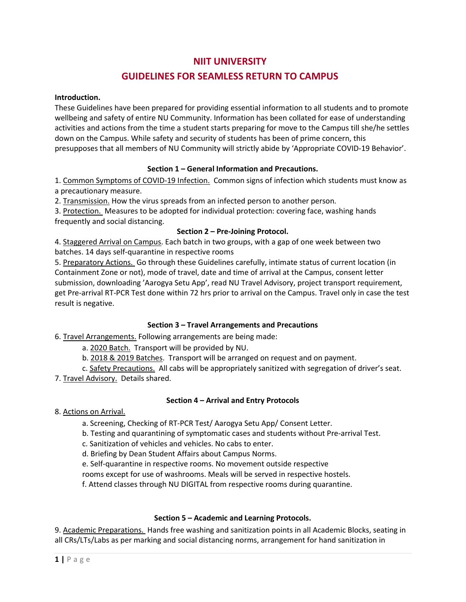# NIIT UNIVERSITY GUIDELINES FOR SEAMLESS RETURN TO CAMPUS

#### Introduction.

These Guidelines have been prepared for providing essential information to all students and to promote wellbeing and safety of entire NU Community. Information has been collated for ease of understanding activities and actions from the time a student starts preparing for move to the Campus till she/he settles down on the Campus. While safety and security of students has been of prime concern, this presupposes that all members of NU Community will strictly abide by 'Appropriate COVID-19 Behavior'.

### Section 1 – General Information and Precautions.

1. Common Symptoms of COVID-19 Infection. Common signs of infection which students must know as a precautionary measure.

2. Transmission. How the virus spreads from an infected person to another person.

3. Protection. Measures to be adopted for individual protection: covering face, washing hands frequently and social distancing.

### Section 2 – Pre-Joining Protocol.

4. Staggered Arrival on Campus. Each batch in two groups, with a gap of one week between two batches. 14 days self-quarantine in respective rooms

5. Preparatory Actions. Go through these Guidelines carefully, intimate status of current location (in Containment Zone or not), mode of travel, date and time of arrival at the Campus, consent letter submission, downloading 'Aarogya Setu App', read NU Travel Advisory, project transport requirement, get Pre-arrival RT-PCR Test done within 72 hrs prior to arrival on the Campus. Travel only in case the test result is negative.

### Section 3 – Travel Arrangements and Precautions

6. Travel Arrangements. Following arrangements are being made:

a. 2020 Batch. Transport will be provided by NU.

b. 2018 & 2019 Batches. Transport will be arranged on request and on payment.

c. Safety Precautions. All cabs will be appropriately sanitized with segregation of driver's seat.

7. Travel Advisory. Details shared.

### Section 4 – Arrival and Entry Protocols

### 8. Actions on Arrival.

a. Screening, Checking of RT-PCR Test/ Aarogya Setu App/ Consent Letter.

b. Testing and quarantining of symptomatic cases and students without Pre-arrival Test.

c. Sanitization of vehicles and vehicles. No cabs to enter.

d. Briefing by Dean Student Affairs about Campus Norms.

e. Self-quarantine in respective rooms. No movement outside respective

rooms except for use of washrooms. Meals will be served in respective hostels.

f. Attend classes through NU DIGITAL from respective rooms during quarantine.

### Section 5 – Academic and Learning Protocols.

9. Academic Preparations. Hands free washing and sanitization points in all Academic Blocks, seating in all CRs/LTs/Labs as per marking and social distancing norms, arrangement for hand sanitization in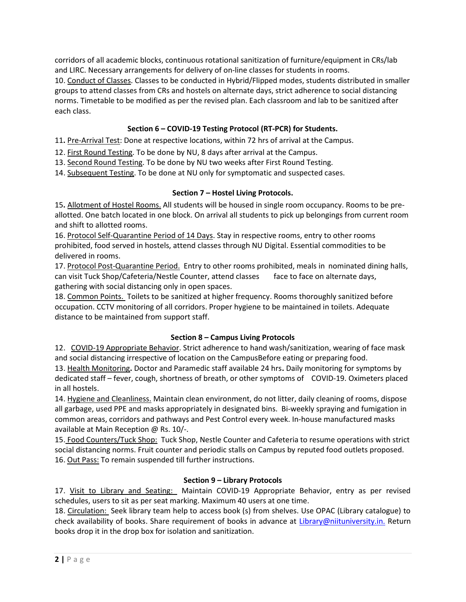corridors of all academic blocks, continuous rotational sanitization of furniture/equipment in CRs/lab and LIRC. Necessary arrangements for delivery of on-line classes for students in rooms. 10. Conduct of Classes. Classes to be conducted in Hybrid/Flipped modes, students distributed in smaller groups to attend classes from CRs and hostels on alternate days, strict adherence to social distancing norms. Timetable to be modified as per the revised plan. Each classroom and lab to be sanitized after each class.

# Section 6 – COVID-19 Testing Protocol (RT-PCR) for Students.

11. Pre-Arrival Test: Done at respective locations, within 72 hrs of arrival at the Campus.

12. First Round Testing. To be done by NU, 8 days after arrival at the Campus.

13. Second Round Testing. To be done by NU two weeks after First Round Testing.

14. Subsequent Testing. To be done at NU only for symptomatic and suspected cases.

# Section 7 – Hostel Living Protocols.

15. Allotment of Hostel Rooms. All students will be housed in single room occupancy. Rooms to be preallotted. One batch located in one block. On arrival all students to pick up belongings from current room and shift to allotted rooms.

16. Protocol Self-Quarantine Period of 14 Days. Stay in respective rooms, entry to other rooms prohibited, food served in hostels, attend classes through NU Digital. Essential commodities to be delivered in rooms.

17. Protocol Post-Quarantine Period. Entry to other rooms prohibited, meals in nominated dining halls, can visit Tuck Shop/Cafeteria/Nestle Counter, attend classes face to face on alternate days, gathering with social distancing only in open spaces.

18. Common Points. Toilets to be sanitized at higher frequency. Rooms thoroughly sanitized before occupation. CCTV monitoring of all corridors. Proper hygiene to be maintained in toilets. Adequate distance to be maintained from support staff.

# Section 8 – Campus Living Protocols

12. COVID-19 Appropriate Behavior. Strict adherence to hand wash/sanitization, wearing of face mask and social distancing irrespective of location on the CampusBefore eating or preparing food.

13. Health Monitoring. Doctor and Paramedic staff available 24 hrs. Daily monitoring for symptoms by dedicated staff – fever, cough, shortness of breath, or other symptoms of COVID-19. Oximeters placed in all hostels.

14. Hygiene and Cleanliness. Maintain clean environment, do not litter, daily cleaning of rooms, dispose all garbage, used PPE and masks appropriately in designated bins. Bi-weekly spraying and fumigation in common areas, corridors and pathways and Pest Control every week. In-house manufactured masks available at Main Reception @ Rs. 10/-.

15. Food Counters/Tuck Shop: Tuck Shop, Nestle Counter and Cafeteria to resume operations with strict social distancing norms. Fruit counter and periodic stalls on Campus by reputed food outlets proposed. 16. Out Pass: To remain suspended till further instructions.

# Section 9 – Library Protocols

17. Visit to Library and Seating: Maintain COVID-19 Appropriate Behavior, entry as per revised schedules, users to sit as per seat marking. Maximum 40 users at one time.

18. Circulation: Seek library team help to access book (s) from shelves. Use OPAC (Library catalogue) to check availability of books. Share requirement of books in advance at Library@niituniversity.in. Return books drop it in the drop box for isolation and sanitization.